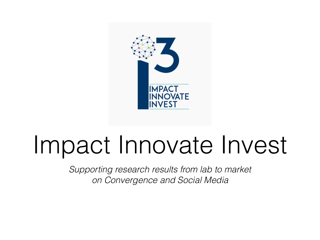

#### Impact Innovate Invest

*Supporting research results from lab to market on Convergence and Social Media*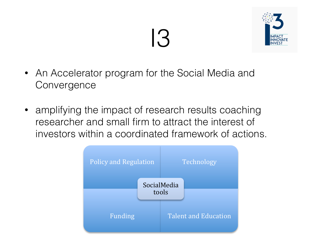## I3



- An Accelerator program for the Social Media and Convergence
- amplifying the impact of research results coaching researcher and small firm to attract the interest of investors within a coordinated framework of actions.

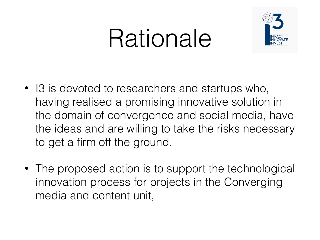## Rationale



- I3 is devoted to researchers and startups who, having realised a promising innovative solution in the domain of convergence and social media, have the ideas and are willing to take the risks necessary to get a firm off the ground.
- The proposed action is to support the technological innovation process for projects in the Converging media and content unit,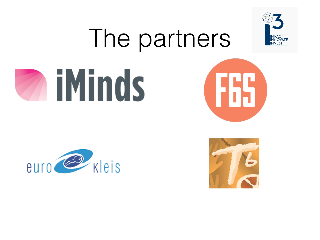

# The partners







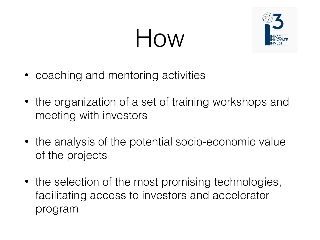## How



- coaching and mentoring activities
- the organization of a set of training workshops and meeting with investors
- the analysis of the potential socio-economic value of the projects
- the selection of the most promising technologies, facilitating access to investors and accelerator program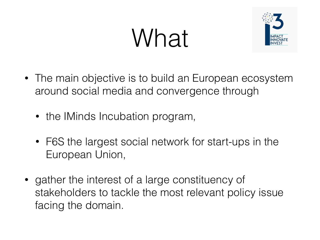# What



- The main objective is to build an European ecosystem around social media and convergence through
	- the IMinds Incubation program,
	- F6S the largest social network for start-ups in the European Union,
- gather the interest of a large constituency of stakeholders to tackle the most relevant policy issue facing the domain.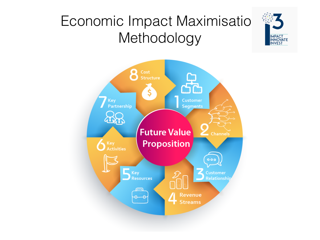#### Economic Impact Maximisatio<sup>s</sup> Methodology **Automatic SCR PACT CON** Economic Impact Maximisatio \$3



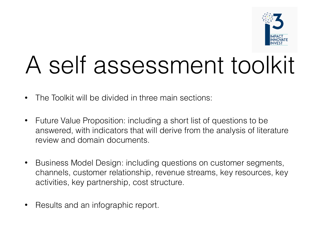

### A self assessment toolkit

- The Toolkit will be divided in three main sections:
- Future Value Proposition: including a short list of questions to be answered, with indicators that will derive from the analysis of literature review and domain documents.
- Business Model Design: including questions on customer segments, channels, customer relationship, revenue streams, key resources, key activities, key partnership, cost structure.
- Results and an infographic report.